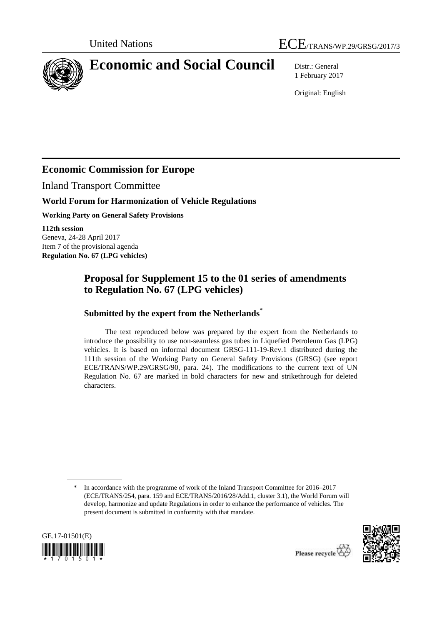

# **Economic and Social Council** Distr.: General

1 February 2017

Original: English

# **Economic Commission for Europe**

Inland Transport Committee

# **World Forum for Harmonization of Vehicle Regulations**

**Working Party on General Safety Provisions**

**112th session** Geneva, 24-28 April 2017 Item 7 of the provisional agenda **Regulation No. 67 (LPG vehicles)**

# **Proposal for Supplement 15 to the 01 series of amendments to Regulation No. 67 (LPG vehicles)**

# **Submitted by the expert from the Netherlands\***

The text reproduced below was prepared by the expert from the Netherlands to introduce the possibility to use non-seamless gas tubes in Liquefied Petroleum Gas (LPG) vehicles. It is based on informal document GRSG-111-19-Rev.1 distributed during the 111th session of the Working Party on General Safety Provisions (GRSG) (see report ECE/TRANS/WP.29/GRSG/90, para. 24). The modifications to the current text of UN Regulation No. 67 are marked in bold characters for new and strikethrough for deleted characters.

In accordance with the programme of work of the Inland Transport Committee for 2016–2017 (ECE/TRANS/254, para. 159 and ECE/TRANS/2016/28/Add.1, cluster 3.1), the World Forum will develop, harmonize and update Regulations in order to enhance the performance of vehicles. The present document is submitted in conformity with that mandate.



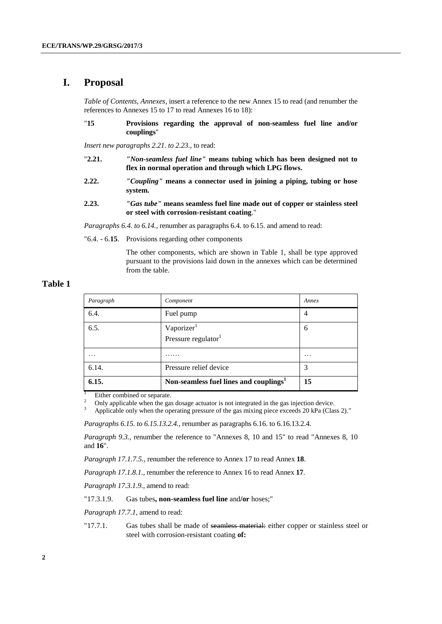## **I. Proposal**

*Table of Contents, Annexes,* insert a reference to the new Annex 15 to read (and renumber the references to Annexes 15 to 17 to read Annexes 16 to 18):

"**15 Provisions regarding the approval of non-seamless fuel line and/or couplings**"

*Insert new paragraphs 2.21. to 2.23.*, to read:

- "**2.21.** *"Non-seamless fuel line"* **means tubing which has been designed not to flex in normal operation and through which LPG flows.**
- **2.22.** *"Coupling"* **means a connector used in joining a piping, tubing or hose system.**
- **2.23.** *"Gas tube"* **means seamless fuel line made out of copper or stainless steel or steel with corrosion-resistant coating**."

*Paragraphs 6.4. to 6.14.,* renumber as paragraphs 6.4. to 6.15. and amend to read:

"6.4. - 6.**15**. Provisions regarding other components

The other components, which are shown in Table 1, shall be type approved pursuant to the provisions laid down in the annexes which can be determined from the table.

### **Table 1**

| Paragraph | Component                                          | Annex             |
|-----------|----------------------------------------------------|-------------------|
| 6.4.      | Fuel pump                                          | $\overline{4}$    |
| 6.5.      | Vaporizer<br>Pressure regulator <sup>1</sup>       | 6                 |
| .         | .                                                  | $\cdot\cdot\cdot$ |
| 6.14.     | Pressure relief device                             | 3                 |
| 6.15.     | Non-seamless fuel lines and couplings <sup>1</sup> | 15                |

 $\frac{1}{2}$  Either combined or separate.

<sup>2</sup> Only applicable when the gas dosage actuator is not integrated in the gas injection device.<br><sup>3</sup> Applicable only when the operating pressure of the gas mixing piece exceeds 20 kPa (Class)

Applicable only when the operating pressure of the gas mixing piece exceeds 20 kPa (Class 2)."

*Paragraphs 6.15. to 6.15.13.2.4.,* renumber as paragraphs 6.16. to 6.16.13.2.4.

*Paragraph 9.3.*, renumber the reference to "Annexes 8, 10 and 15" to read "Annexes 8, 10 and **16**".

*Paragraph 17.1.7.5.,* renumber the reference to Annex 17 to read Annex **18**.

*Paragraph 17.1.8.1.,* renumber the reference to Annex 16 to read Annex **17**.

*Paragraph 17.3.1.9.,* amend to read:

"17.3.1.9. Gas tubes**, non-seamless fuel line** and**/or** hoses;"

*Paragraph 17.7.1,* amend to read:

"17.7.1. Gas tubes shall be made of seamless material: either copper or stainless steel or steel with corrosion-resistant coating **of:**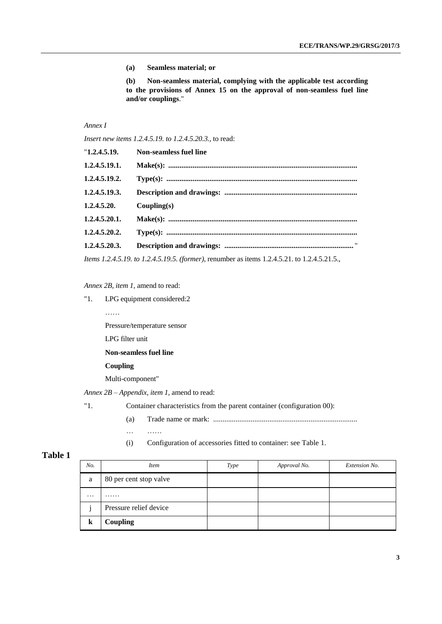**(a) Seamless material; or**

**(b) Non-seamless material, complying with the applicable test according to the provisions of Annex 15 on the approval of non-seamless fuel line and/or couplings**."

### *Annex I*

*Insert new items 1.2.4.5.19. to 1.2.4.5.20.3.,* to read:

| "1,2.4.5.19.  | <b>Non-seamless fuel line</b> |
|---------------|-------------------------------|
| 1.2.4.5.19.1. |                               |
| 1.2.4.5.19.2. |                               |
| 1.2.4.5.19.3. |                               |
| 1.2.4.5.20.   | Coupling(s)                   |
| 1.2.4.5.20.1. |                               |
| 1.2.4.5.20.2. |                               |
| 1.2.4.5.20.3. |                               |
|               |                               |

*Items 1.2.4.5.19. to 1.2.4.5.19.5. (former),* renumber as items 1.2.4.5.21. to 1.2.4.5.21.5.,

#### *Annex 2B, item 1,* amend to read:

"1. LPG equipment considered:2

……

Pressure/temperature sensor

LPG filter unit

#### **Non-seamless fuel line**

#### **Coupling**

Multi-component"

*Annex 2B – Appendix, item 1,* amend to read:

"1. Container characteristics from the parent container (configuration 00):

(a) Trade name or mark: .............................................................................

… ……

(i) Configuration of accessories fitted to container: see Table 1.

### **Table 1**

| No.      | <i>Item</i>            | <b>Type</b> | Approval No. | Extension No. |
|----------|------------------------|-------------|--------------|---------------|
| a        | 80 per cent stop valve |             |              |               |
| $\cdots$ | .                      |             |              |               |
|          | Pressure relief device |             |              |               |
|          | <b>Coupling</b>        |             |              |               |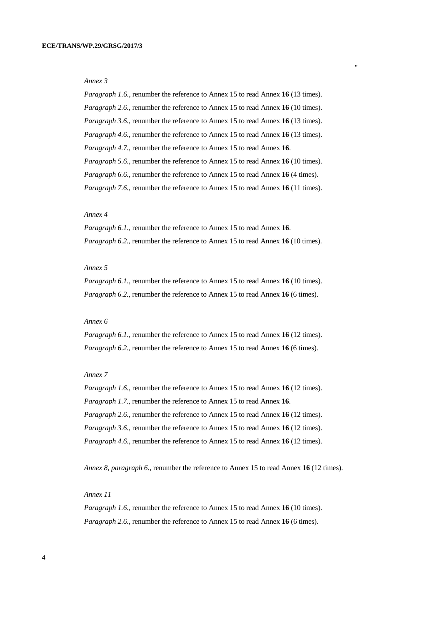#### *Annex 3*

*Paragraph 1.6.,* renumber the reference to Annex 15 to read Annex **16** (13 times). *Paragraph 2.6.,* renumber the reference to Annex 15 to read Annex **16** (10 times). *Paragraph 3.6.,* renumber the reference to Annex 15 to read Annex **16** (13 times). *Paragraph 4.6.,* renumber the reference to Annex 15 to read Annex **16** (13 times). *Paragraph 4.7.,* renumber the reference to Annex 15 to read Annex **16**. *Paragraph 5.6.,* renumber the reference to Annex 15 to read Annex **16** (10 times). *Paragraph 6.6.,* renumber the reference to Annex 15 to read Annex **16** (4 times). *Paragraph 7.6.,* renumber the reference to Annex 15 to read Annex **16** (11 times). "

#### *Annex 4*

*Paragraph 6.1.,* renumber the reference to Annex 15 to read Annex **16**. *Paragraph 6.2.,* renumber the reference to Annex 15 to read Annex **16** (10 times).

#### *Annex 5*

*Paragraph 6.1.,* renumber the reference to Annex 15 to read Annex **16** (10 times). *Paragraph 6.2.,* renumber the reference to Annex 15 to read Annex **16** (6 times).

#### *Annex 6*

*Paragraph 6.1.,* renumber the reference to Annex 15 to read Annex **16** (12 times). *Paragraph 6.2.,* renumber the reference to Annex 15 to read Annex **16** (6 times).

#### *Annex 7*

*Paragraph 1.6.,* renumber the reference to Annex 15 to read Annex **16** (12 times). *Paragraph 1.7.,* renumber the reference to Annex 15 to read Annex **16**. *Paragraph 2.6.,* renumber the reference to Annex 15 to read Annex **16** (12 times). *Paragraph 3.6.,* renumber the reference to Annex 15 to read Annex **16** (12 times). *Paragraph 4.6.,* renumber the reference to Annex 15 to read Annex **16** (12 times).

*Annex 8, paragraph 6.,* renumber the reference to Annex 15 to read Annex **16** (12 times).

#### *Annex 11*

*Paragraph 1.6.,* renumber the reference to Annex 15 to read Annex **16** (10 times). *Paragraph 2.6.,* renumber the reference to Annex 15 to read Annex **16** (6 times).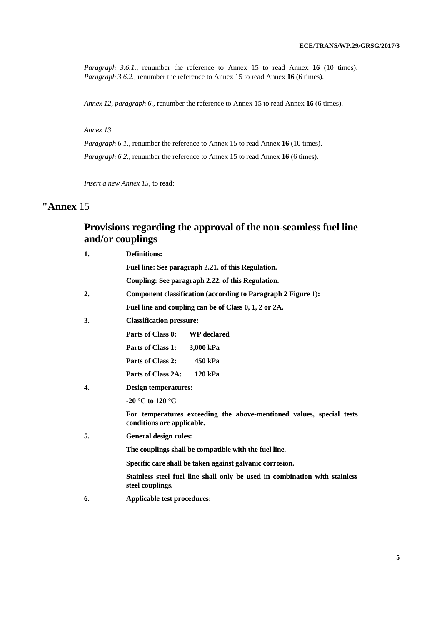*Paragraph 3.6.1.,* renumber the reference to Annex 15 to read Annex **16** (10 times). *Paragraph 3.6.2.,* renumber the reference to Annex 15 to read Annex **16** (6 times).

*Annex 12, paragraph 6.,* renumber the reference to Annex 15 to read Annex **16** (6 times).

*Annex 13*

*Paragraph 6.1.,* renumber the reference to Annex 15 to read Annex **16** (10 times). *Paragraph 6.2.,* renumber the reference to Annex 15 to read Annex **16** (6 times).

*Insert a new Annex 15,* to read:

# **"Annex** 15

# **Provisions regarding the approval of the non-seamless fuel line and/or couplings**

| 1. | <b>Definitions:</b>                                                                                |  |
|----|----------------------------------------------------------------------------------------------------|--|
|    | Fuel line: See paragraph 2.21. of this Regulation.                                                 |  |
|    | Coupling: See paragraph 2.22. of this Regulation.                                                  |  |
| 2. | <b>Component classification (according to Paragraph 2 Figure 1):</b>                               |  |
|    | Fuel line and coupling can be of Class 0, 1, 2 or 2A.                                              |  |
| 3. | <b>Classification pressure:</b>                                                                    |  |
|    | Parts of Class 0:<br><b>WP</b> declared                                                            |  |
|    | Parts of Class 1:<br>3,000 kPa                                                                     |  |
|    | Parts of Class 2:<br>450 kPa                                                                       |  |
|    | Parts of Class 2A:<br>120 kPa                                                                      |  |
| 4. | Design temperatures:                                                                               |  |
|    | -20 °C to 120 °C                                                                                   |  |
|    | For temperatures exceeding the above-mentioned values, special tests<br>conditions are applicable. |  |
| 5. | <b>General design rules:</b>                                                                       |  |
|    | The couplings shall be compatible with the fuel line.                                              |  |
|    | Specific care shall be taken against galvanic corrosion.                                           |  |
|    | Stainless steel fuel line shall only be used in combination with stainless<br>steel couplings.     |  |
| 6. | Applicable test procedures:                                                                        |  |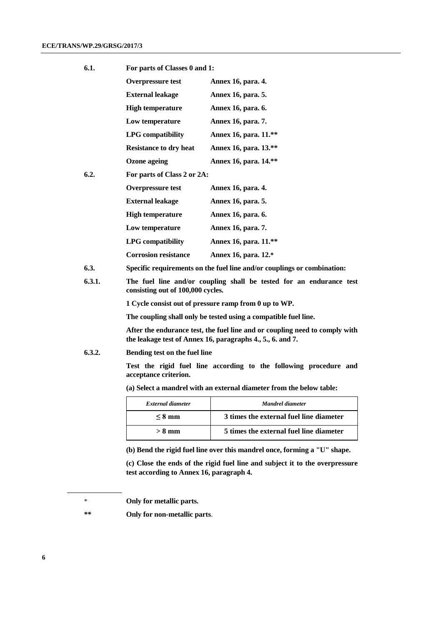| 6.1. | For parts of Classes 0 and 1: |                       |  |
|------|-------------------------------|-----------------------|--|
|      | <b>Overpressure test</b>      | Annex 16, para. 4.    |  |
|      | <b>External leakage</b>       | Annex 16, para. 5.    |  |
|      | <b>High temperature</b>       | Annex 16, para. 6.    |  |
|      | Low temperature               | Annex 16, para. 7.    |  |
|      | <b>LPG</b> compatibility      | Annex 16, para. 11.** |  |
|      | <b>Resistance to dry heat</b> | Annex 16, para. 13.** |  |
|      | Ozone ageing                  | Annex 16, para. 14.** |  |
| 6.2. | For parts of Class 2 or 2A:   |                       |  |
|      | <b>Overpressure test</b>      | Annex 16, para. 4.    |  |
|      |                               |                       |  |

| Ful parts of Class 2 of $2\pi$ . |                       |
|----------------------------------|-----------------------|
| <b>Overpressure test</b>         | Annex 16, para. 4.    |
| <b>External leakage</b>          | Annex 16, para. 5.    |
| <b>High temperature</b>          | Annex 16, para. 6.    |
| Low temperature                  | Annex 16, para. 7.    |
| <b>LPG</b> compatibility         | Annex 16, para. 11.** |
| <b>Corrosion resistance</b>      | Annex 16, para. 12.*  |
|                                  |                       |

- **6.3. Specific requirements on the fuel line and/or couplings or combination:**
- **6.3.1. The fuel line and/or coupling shall be tested for an endurance test consisting out of 100,000 cycles.**

**1 Cycle consist out of pressure ramp from 0 up to WP.**

**The coupling shall only be tested using a compatible fuel line.**

**After the endurance test, the fuel line and or coupling need to comply with the leakage test of Annex 16, paragraphs 4., 5., 6. and 7.**

#### **6.3.2. Bending test on the fuel line**

**Test the rigid fuel line according to the following procedure and acceptance criterion.**

**(a) Select a mandrel with an external diameter from the below table:**

| External diameter | Mandrel diameter                        |
|-------------------|-----------------------------------------|
| $\leq 8$ mm       | 3 times the external fuel line diameter |
| $> 8 \text{ mm}$  | 5 times the external fuel line diameter |

**(b) Bend the rigid fuel line over this mandrel once, forming a "U" shape.**

**(c) Close the ends of the rigid fuel line and subject it to the overpressure test according to Annex 16, paragraph 4.**

**\*\* Only for non-metallic parts**.

<sup>\*</sup> **Only for metallic parts.**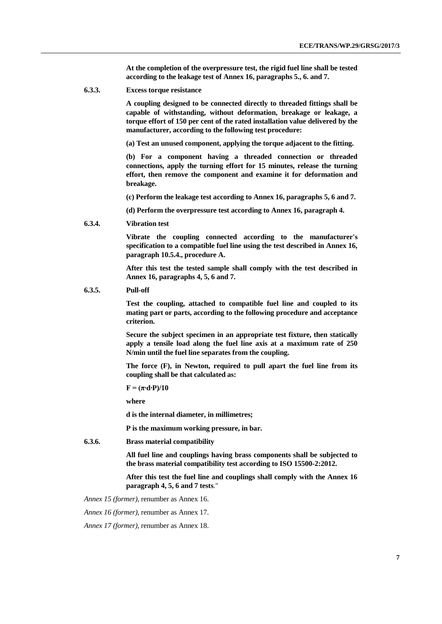**At the completion of the overpressure test, the rigid fuel line shall be tested according to the leakage test of Annex 16, paragraphs 5., 6. and 7.**

**6.3.3. Excess torque resistance**

**A coupling designed to be connected directly to threaded fittings shall be capable of withstanding, without deformation, breakage or leakage, a torque effort of 150 per cent of the rated installation value delivered by the manufacturer, according to the following test procedure:**

**(a) Test an unused component, applying the torque adjacent to the fitting.**

**(b) For a component having a threaded connection or threaded connections, apply the turning effort for 15 minutes, release the turning effort, then remove the component and examine it for deformation and breakage.**

**(c) Perform the leakage test according to Annex 16, paragraphs 5, 6 and 7.**

**(d) Perform the overpressure test according to Annex 16, paragraph 4.**

**6.3.4. Vibration test**

**Vibrate the coupling connected according to the manufacturer's specification to a compatible fuel line using the test described in Annex 16, paragraph 10.5.4., procedure A.**

**After this test the tested sample shall comply with the test described in Annex 16, paragraphs 4, 5, 6 and 7.**

**6.3.5. Pull-off**

**Test the coupling, attached to compatible fuel line and coupled to its mating part or parts, according to the following procedure and acceptance criterion.**

**Secure the subject specimen in an appropriate test fixture, then statically apply a tensile load along the fuel line axis at a maximum rate of 250 N/min until the fuel line separates from the coupling.**

**The force (F), in Newton, required to pull apart the fuel line from its coupling shall be that calculated as:**

 $\mathbf{F} = (\pi \cdot \mathbf{d} \cdot \mathbf{P})/10$ 

**where**

**d is the internal diameter, in millimetres;**

**P is the maximum working pressure, in bar.**

**6.3.6. Brass material compatibility**

**All fuel line and couplings having brass components shall be subjected to the brass material compatibility test according to ISO 15500-2:2012.**

**After this test the fuel line and couplings shall comply with the Annex 16 paragraph 4, 5, 6 and 7 tests**."

*Annex 15 (former),* renumber as Annex 16.

*Annex 16 (former),* renumber as Annex 17.

*Annex 17 (former),* renumber as Annex 18.